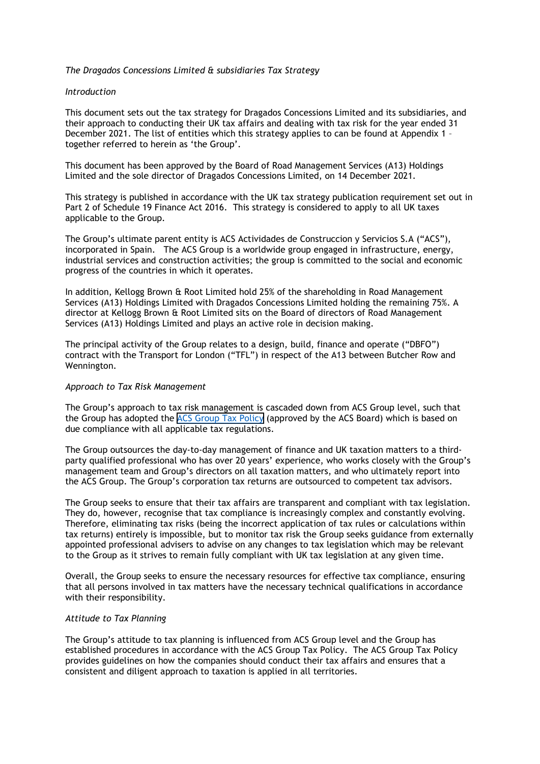## The Dragados Concessions Limited & subsidiaries Tax Strategy

### Introduction

This document sets out the tax strategy for Dragados Concessions Limited and its subsidiaries, and their approach to conducting their UK tax affairs and dealing with tax risk for the year ended 31 December 2021. The list of entities which this strategy applies to can be found at Appendix 1 together referred to herein as 'the Group'.

This document has been approved by the Board of Road Management Services (A13) Holdings Limited and the sole director of Dragados Concessions Limited, on 14 December 2021.

This strategy is published in accordance with the UK tax strategy publication requirement set out in Part 2 of Schedule 19 Finance Act 2016. This strategy is considered to apply to all UK taxes applicable to the Group.

The Group's ultimate parent entity is ACS Actividades de Construccion y Servicios S.A ("ACS"), incorporated in Spain. The ACS Group is a worldwide group engaged in infrastructure, energy, industrial services and construction activities; the group is committed to the social and economic progress of the countries in which it operates.

In addition, Kellogg Brown & Root Limited hold 25% of the shareholding in Road Management Services (A13) Holdings Limited with Dragados Concessions Limited holding the remaining 75%. A director at Kellogg Brown & Root Limited sits on the Board of directors of Road Management Services (A13) Holdings Limited and plays an active role in decision making.

The principal activity of the Group relates to a design, build, finance and operate ("DBFO") contract with the Transport for London ("TFL") in respect of the A13 between Butcher Row and Wennington.

#### Approach to Tax Risk Management

The Group's approach to tax risk management is cascaded down from ACS Group level, such that the Group has adopted the [ACS Group Tax Policy](https://www.grupoacs.com/ficheros_editor/File/05_Compliance/Pol%C3%ADticas/30_Pol%C3%ADtica%20Fiscal%20Corporativa_1_2015_eng.pdf) (approved by the ACS Board) which is based on due compliance with all applicable tax regulations.

The Group outsources the day-to-day management of finance and UK taxation matters to a thirdparty qualified professional who has over 20 years' experience, who works closely with the Group's management team and Group's directors on all taxation matters, and who ultimately report into the ACS Group. The Group's corporation tax returns are outsourced to competent tax advisors.

The Group seeks to ensure that their tax affairs are transparent and compliant with tax legislation. They do, however, recognise that tax compliance is increasingly complex and constantly evolving. Therefore, eliminating tax risks (being the incorrect application of tax rules or calculations within tax returns) entirely is impossible, but to monitor tax risk the Group seeks guidance from externally appointed professional advisers to advise on any changes to tax legislation which may be relevant to the Group as it strives to remain fully compliant with UK tax legislation at any given time.

Overall, the Group seeks to ensure the necessary resources for effective tax compliance, ensuring that all persons involved in tax matters have the necessary technical qualifications in accordance with their responsibility.

### Attitude to Tax Planning

The Group's attitude to tax planning is influenced from ACS Group level and the Group has established procedures in accordance with the ACS Group Tax Policy. The ACS Group Tax Policy provides guidelines on how the companies should conduct their tax affairs and ensures that a consistent and diligent approach to taxation is applied in all territories.